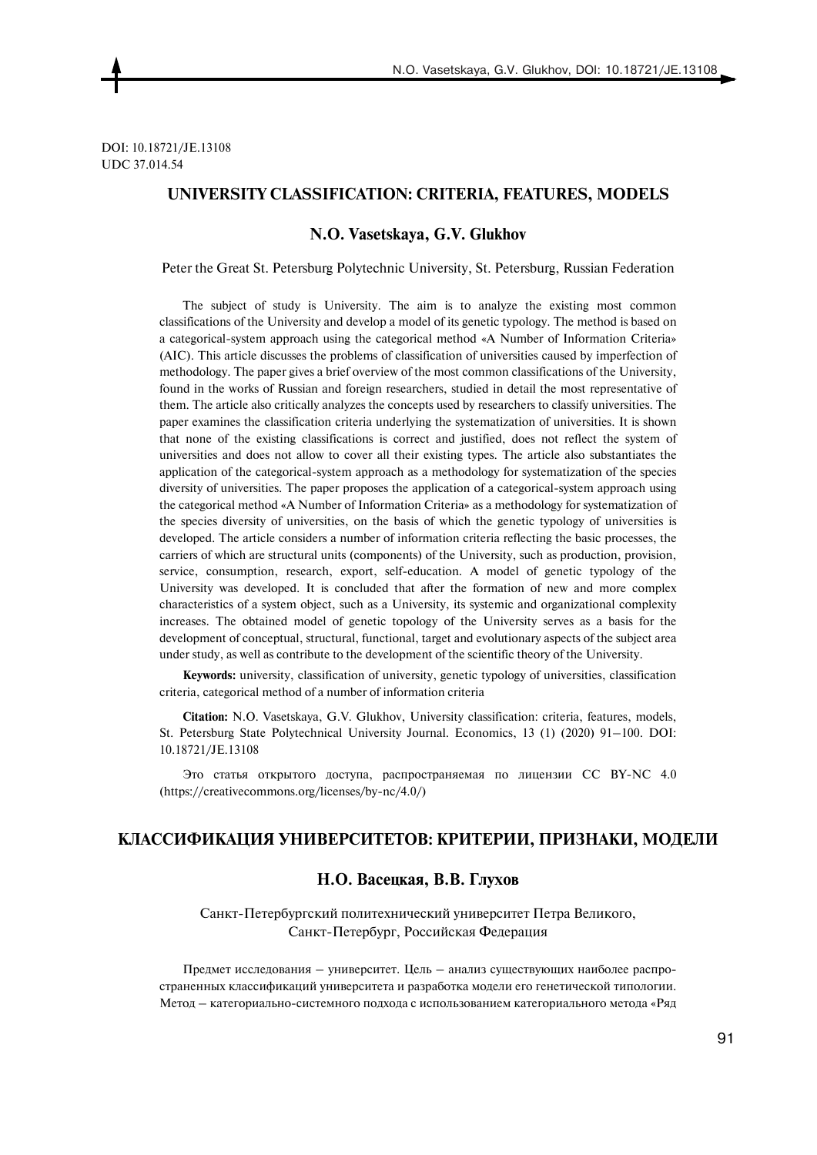DOI: 10.18721/JE.13108 UDC 37.014.54

## **UNIVERSITY CLASSIFICATION: CRITERIA, FEATURES, MODELS**

#### **N.O. Vasetskaya, G.V. Glukhov**

Peter the Great St. Petersburg Polytechnic University, St. Petersburg, Russian Federation

The subject of study is University. The aim is to analyze the existing most common classifications of the University and develop a model of its genetic typology. The method is based on a categorical-system approach using the categorical method «A Number of Information Criteria» (AIC). This article discusses the problems of classification of universities caused by imperfection of methodology. The paper gives a brief overview of the most common classifications of the University, found in the works of Russian and foreign researchers, studied in detail the most representative of them. The article also critically analyzes the concepts used by researchers to classify universities. The paper examines the classification criteria underlying the systematization of universities. It is shown that none of the existing classifications is correct and justified, does not reflect the system of universities and does not allow to cover all their existing types. The article also substantiates the application of the categorical-system approach as a methodology for systematization of the species diversity of universities. The paper proposes the application of a categorical-system approach using the categorical method «A Number of Information Criteria» as a methodology for systematization of the species diversity of universities, on the basis of which the genetic typology of universities is developed. The article considers a number of information criteria reflecting the basic processes, the carriers of which are structural units (components) of the University, such as production, provision, service, consumption, research, export, self-education. A model of genetic typology of the University was developed. It is concluded that after the formation of new and more complex characteristics of a system object, such as a University, its systemic and organizational complexity increases. The obtained model of genetic topology of the University serves as a basis for the development of conceptual, structural, functional, target and evolutionary aspects of the subject area under study, as well as contribute to the development of the scientific theory of the University.

**Keywords:** university, classification of university, genetic typology of universities, classification criteria, categorical method of a number of information criteria

**Citation:** N.O. Vasetskaya, G.V. Glukhov, University classification: criteria, features, models, St. Petersburg State Polytechnical University Journal. Economics, 13 (1) (2020) 91–100. DOI: 10.18721/JE.13108

Это статья открытого доступа, распространяемая по лицензии CC BY-NC 4.0 (https://creativecommons.org/licenses/by-nc/4.0/)

#### **КЛАССИФИКАЦИЯ УНИВЕРСИТЕТОВ: КРИТЕРИИ, ПРИЗНАКИ, МОДЕЛИ**

### **Н.О. Васецкая, В.В. Глухов**

Санкт-Петербургский политехнический университет Петра Великого, Санкт-Петербург, Российская Федерация

Предмет исследования – университет. Цель – анализ существующих наиболее распространенных классификаций университета и разработка модели его генетической типологии. Метод – категориально-системного подхода с использованием категориального метода «Ряд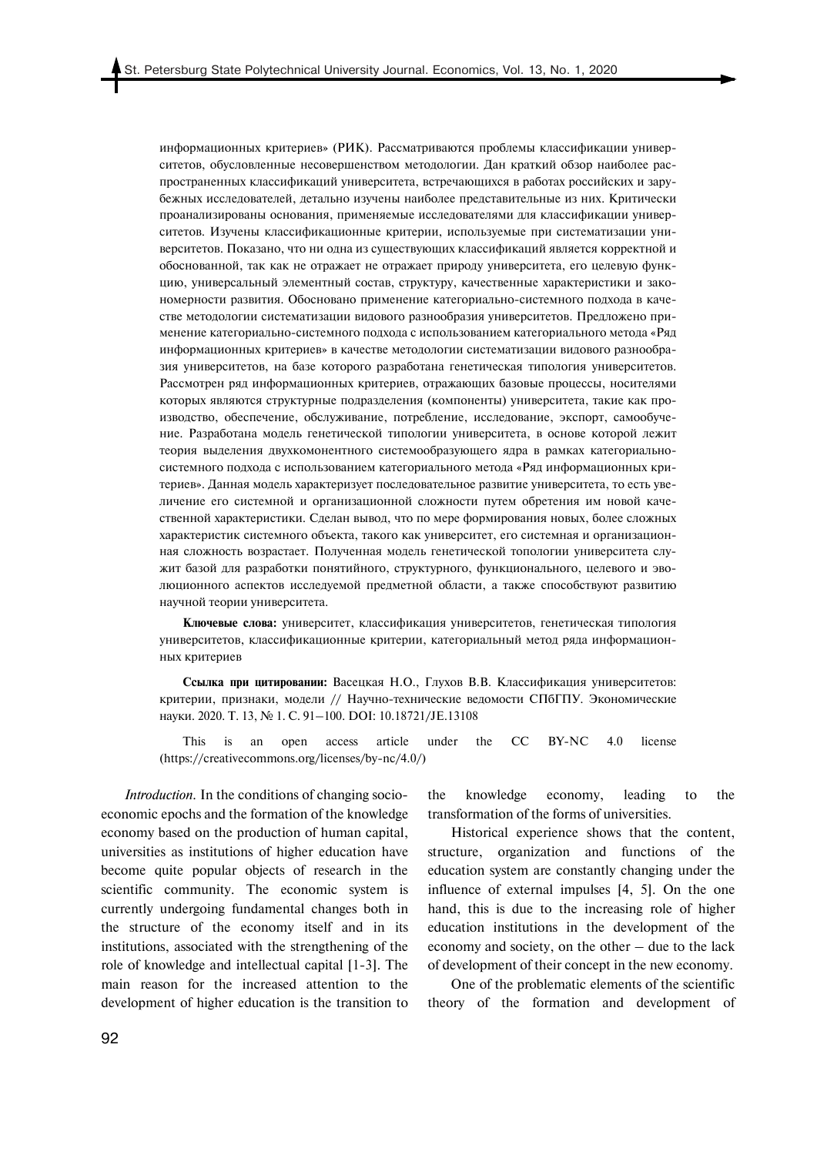информационных критериев» (РИК). Рассматриваются проблемы классификации университетов, обусловленные несовершенством методологии. Дан краткий обзор наиболее распространенных классификаций университета, встречающихся в работах российских и зарубежных исследователей, детально изучены наиболее представительные из них. Критически проанализированы основания, применяемые исследователями для классификации университетов. Изучены классификационные критерии, используемые при систематизации университетов. Показано, что ни одна из существующих классификаций является корректной и обоснованной, так как не отражает не отражает природу университета, его целевую функцию, универсальный элементный состав, структуру, качественные характеристики и закономерности развития. Обосновано применение категориально-системного подхода в качестве методологии систематизации видового разнообразия университетов. Предложено применение категориально-системного подхода с использованием категориального метода «Ряд информационных критериев» в качестве методологии систематизации видового разнообразия университетов, на базе которого разработана генетическая типология университетов. Рассмотрен ряд информационных критериев, отражающих базовые процессы, носителями которых являются структурные подразделения (компоненты) университета, такие как производство, обеспечение, обслуживание, потребление, исследование, экспорт, самообучение. Разработана модель генетической типологии университета, в основе которой лежит теория выделения двухкомонентного системообразующего ядра в рамках категориальносистемного подхода с использованием категориального метода «Ряд информационных критериев». Данная модель характеризует последовательное развитие университета, то есть увеличение его системной и организационной сложности путем обретения им новой качественной характеристики. Сделан вывод, что по мере формирования новых, более сложных характеристик системного объекта, такого как университет, его системная и организационная сложность возрастает. Полученная модель генетической топологии университета служит базой для разработки понятийного, структурного, функционального, целевого и эволюционного аспектов исследуемой предметной области, а также способствуют развитию научной теории университета.

**Ключевые слова:** университет, классификация университетов, генетическая типология университетов, классификационные критерии, категориальный метод ряда информационных критериев

**Ссылка при цитировании:** Васецкая Н.О., Глухов В.В. Классификация университетов: критерии, признаки, модели // Научно-технические ведомости СПбГПУ. Экономические науки. 2020. Т. 13, № 1. С. 91–100. DOI: 10.18721/JE.13108

This is an open access article under the CC BY-NC 4.0 license (https://creativecommons.org/licenses/by-nc/4.0/)

*Introduction.* In the conditions of changing socioeconomic epochs and the formation of the knowledge economy based on the production of human capital, universities as institutions of higher education have become quite popular objects of research in the scientific community. The economic system is currently undergoing fundamental changes both in the structure of the economy itself and in its institutions, associated with the strengthening of the role of knowledge and intellectual capital [1-3]. The main reason for the increased attention to the development of higher education is the transition to the knowledge economy, leading to the transformation of the forms of universities.

Historical experience shows that the content, structure, organization and functions of the education system are constantly changing under the influence of external impulses [4, 5]. On the one hand, this is due to the increasing role of higher education institutions in the development of the economy and society, on the other – due to the lack of development of their concept in the new economy.

One of the problematic elements of the scientific theory of the formation and development of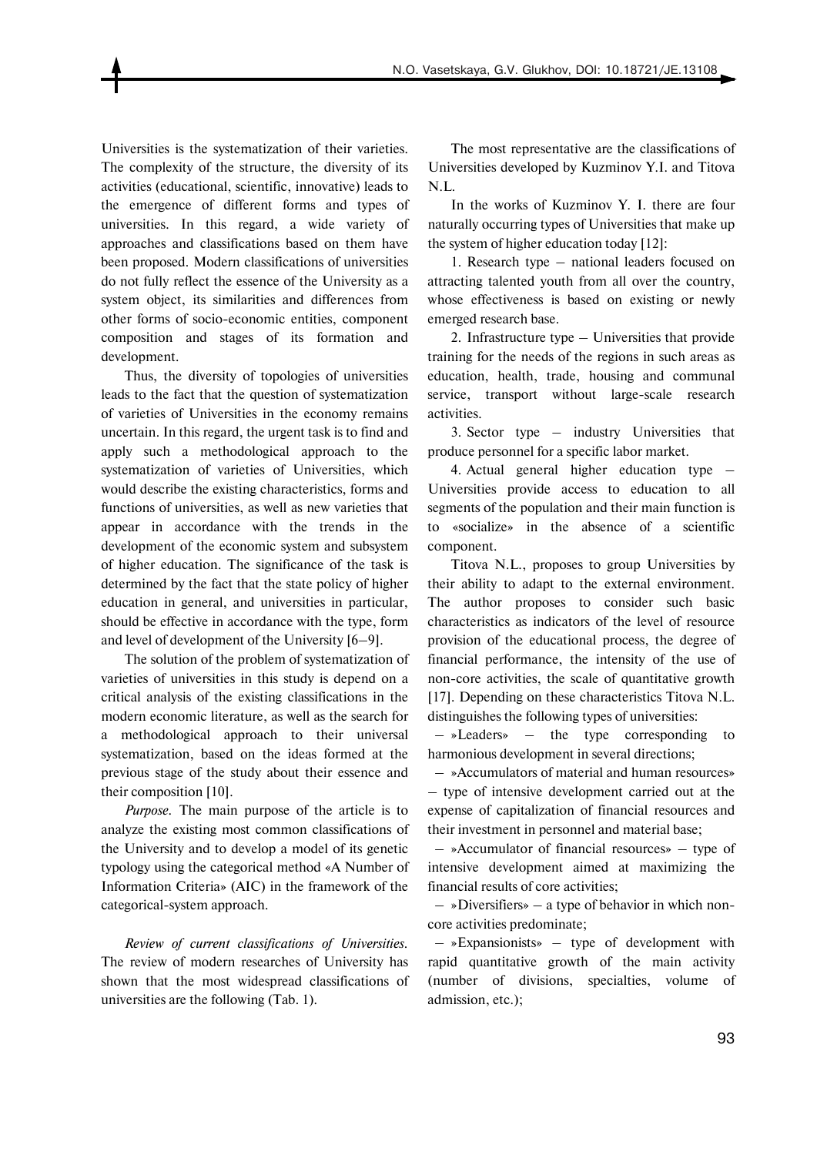Universities is the systematization of their varieties. The complexity of the structure, the diversity of its activities (educational, scientific, innovative) leads to the emergence of different forms and types of universities. In this regard, a wide variety of approaches and classifications based on them have been proposed. Modern classifications of universities do not fully reflect the essence of the University as a system object, its similarities and differences from other forms of socio-economic entities, component composition and stages of its formation and development.

Thus, the diversity of topologies of universities leads to the fact that the question of systematization of varieties of Universities in the economy remains uncertain. In this regard, the urgent task is to find and apply such a methodological approach to the systematization of varieties of Universities, which would describe the existing characteristics, forms and functions of universities, as well as new varieties that appear in accordance with the trends in the development of the economic system and subsystem of higher education. The significance of the task is determined by the fact that the state policy of higher education in general, and universities in particular, should be effective in accordance with the type, form and level of development of the University [6–9].

The solution of the problem of systematization of varieties of universities in this study is depend on a critical analysis of the existing classifications in the modern economic literature, as well as the search for a methodological approach to their universal systematization, based on the ideas formed at the previous stage of the study about their essence and their composition [10].

*Purpose.* The main purpose of the article is to analyze the existing most common classifications of the University and to develop a model of its genetic typology using the categorical method «A Number of Information Criteria» (AIC) in the framework of the categorical-system approach.

*Review of current classifications of Universities.*  The review of modern researches of University has shown that the most widespread classifications of universities are the following (Tab. 1)*.* 

The most representative are the classifications of Universities developed by Kuzminov Y.I. and Titova N.L.

In the works of Kuzminov Y. I. there are four naturally occurring types of Universities that make up the system of higher education today [12]:

1. Research type – national leaders focused on attracting talented youth from all over the country, whose effectiveness is based on existing or newly emerged research base.

2. Infrastructure type – Universities that provide training for the needs of the regions in such areas as education, health, trade, housing and communal service, transport without large-scale research activities.

3. Sector type – industry Universities that produce personnel for a specific labor market.

4. Actual general higher education type – Universities provide access to education to all segments of the population and their main function is to «socialize» in the absence of a scientific component.

Titova N.L., proposes to group Universities by their ability to adapt to the external environment. The author proposes to consider such basic characteristics as indicators of the level of resource provision of the educational process, the degree of financial performance, the intensity of the use of non-core activities, the scale of quantitative growth [17]. Depending on these characteristics Titova N.L. distinguishes the following types of universities:

 – »Leaders» – the type corresponding to harmonious development in several directions;

 – »Accumulators of material and human resources» – type of intensive development carried out at the expense of capitalization of financial resources and their investment in personnel and material base;

 – »Accumulator of financial resources» – type of intensive development aimed at maximizing the financial results of core activities;

 – »Diversifiers» – a type of behavior in which noncore activities predominate;

 – »Expansionists» – type of development with rapid quantitative growth of the main activity (number of divisions, specialties, volume of admission, etc.);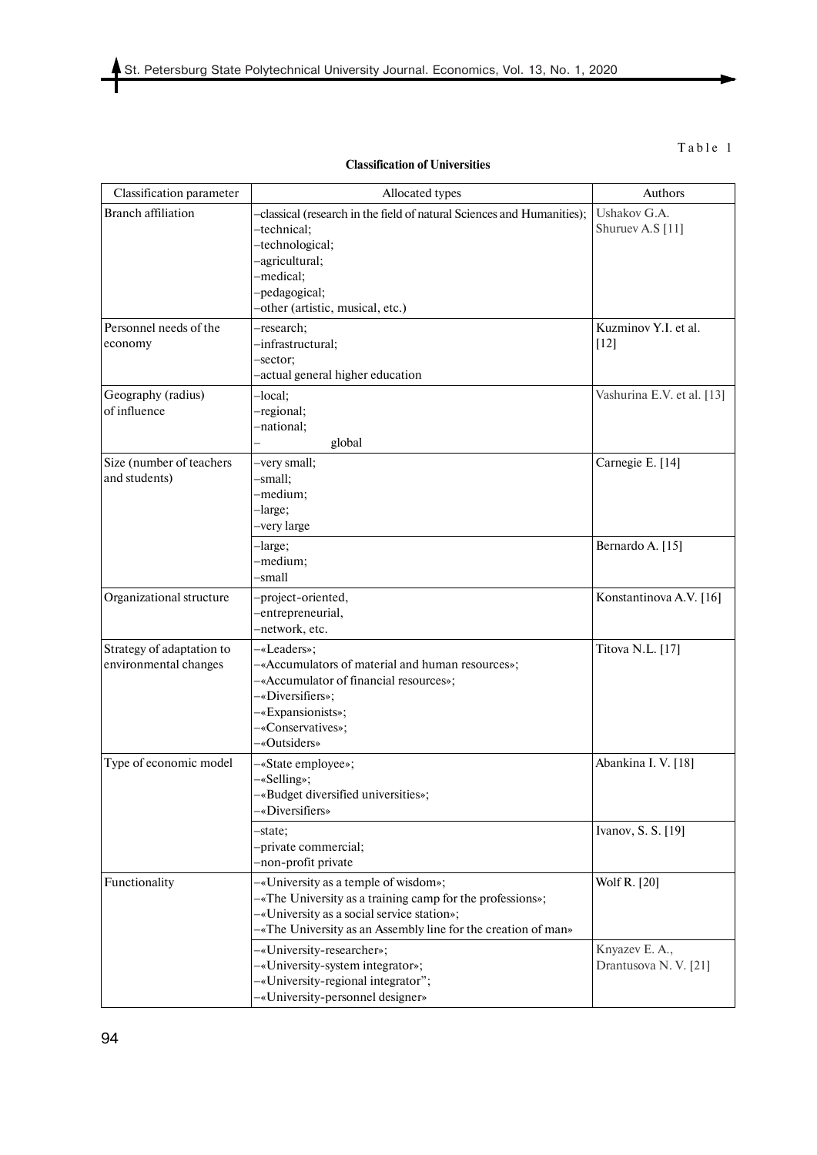# Table 1

| <b>Classification of Universities</b> |  |  |
|---------------------------------------|--|--|
|---------------------------------------|--|--|

| Classification parameter  | Allocated types                                                                       | Authors                    |
|---------------------------|---------------------------------------------------------------------------------------|----------------------------|
| <b>Branch affiliation</b> |                                                                                       | Ushakov G.A.               |
|                           | -classical (research in the field of natural Sciences and Humanities);<br>-technical; | Shuruev A.S [11]           |
|                           | -technological;                                                                       |                            |
|                           | -agricultural;                                                                        |                            |
|                           | -medical;                                                                             |                            |
|                           | -pedagogical;                                                                         |                            |
|                           | -other (artistic, musical, etc.)                                                      |                            |
| Personnel needs of the    | -research;                                                                            | Kuzminov Y.I. et al.       |
| economy                   | -infrastructural;                                                                     | $[12]$                     |
|                           | -sector;                                                                              |                            |
|                           | -actual general higher education                                                      |                            |
| Geography (radius)        | -local;                                                                               | Vashurina E.V. et al. [13] |
| of influence              | -regional;                                                                            |                            |
|                           | -national;                                                                            |                            |
|                           | global                                                                                |                            |
| Size (number of teachers  | -very small;                                                                          | Carnegie E. [14]           |
| and students)             | -small:                                                                               |                            |
|                           | -medium;                                                                              |                            |
|                           | -large;                                                                               |                            |
|                           | -very large                                                                           |                            |
|                           | -large;                                                                               | Bernardo A. [15]           |
|                           | -medium;                                                                              |                            |
|                           | -small                                                                                |                            |
| Organizational structure  | -project-oriented,                                                                    | Konstantinova A.V. [16]    |
|                           | -entrepreneurial,                                                                     |                            |
|                           | -network, etc.                                                                        |                            |
| Strategy of adaptation to | -«Leaders»;                                                                           | Titova N.L. [17]           |
| environmental changes     | -«Accumulators of material and human resources»;                                      |                            |
|                           | -«Accumulator of financial resources»;                                                |                            |
|                           | -«Diversifiers»;                                                                      |                            |
|                           | -«Expansionists»;                                                                     |                            |
|                           | -«Conservatives»;                                                                     |                            |
|                           | -«Outsiders»                                                                          |                            |
| Type of economic model    | -«State employee»;                                                                    | Abankina I.V. [18]         |
|                           | -«Selling»;                                                                           |                            |
|                           | «Budget diversified universities»;                                                    |                            |
|                           | «Diversifiers»                                                                        |                            |
|                           | -state;                                                                               | Ivanov, S. S. [19]         |
|                           | -private commercial;                                                                  |                            |
|                           | -non-profit private                                                                   |                            |
| Functionality             | -«University as a temple of wisdom»;                                                  | Wolf R. [20]               |
|                           | $-\ast$ The University as a training camp for the professions»;                       |                            |
|                           | -«University as a social service station»;                                            |                            |
|                           | -«The University as an Assembly line for the creation of man»                         |                            |
|                           | -«University-researcher»;                                                             | Knyazev E. A.,             |
|                           | -«University-system integrator»;                                                      | Drantusova N. V. [21]      |
|                           | -«University-regional integrator";                                                    |                            |
|                           | -«University-personnel designer»                                                      |                            |

j.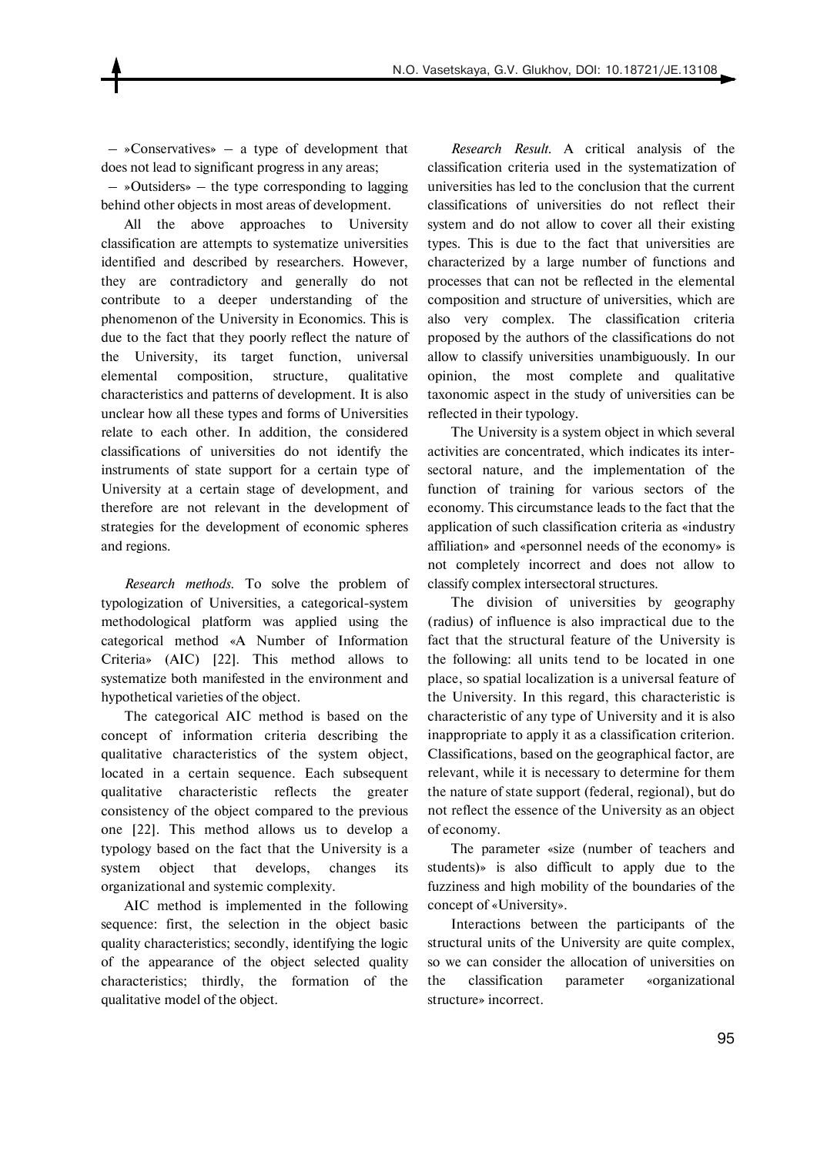– »Conservatives» – a type of development that does not lead to significant progress in any areas;

 – »Outsiders» – the type corresponding to lagging behind other objects in most areas of development.

All the above approaches to University classification are attempts to systematize universities identified and described by researchers. However, they are contradictory and generally do not contribute to a deeper understanding of the phenomenon of the University in Economics. This is due to the fact that they poorly reflect the nature of the University, its target function, universal elemental composition, structure, qualitative characteristics and patterns of development. It is also unclear how all these types and forms of Universities relate to each other. In addition, the considered classifications of universities do not identify the instruments of state support for a certain type of University at a certain stage of development, and therefore are not relevant in the development of strategies for the development of economic spheres and regions.

*Research methods.* To solve the problem of typologization of Universities, a categorical-system methodological platform was applied using the categorical method «A Number of Information Criteria» (AIC) [22]. This method allows to systematize both manifested in the environment and hypothetical varieties of the object.

The categorical AIC method is based on the concept of information criteria describing the qualitative characteristics of the system object, located in a certain sequence. Each subsequent qualitative characteristic reflects the greater consistency of the object compared to the previous one [22]. This method allows us to develop a typology based on the fact that the University is a system object that develops, changes its organizational and systemic complexity.

AIC method is implemented in the following sequence: first, the selection in the object basic quality characteristics; secondly, identifying the logic of the appearance of the object selected quality characteristics; thirdly, the formation of the qualitative model of the object.

*Research Result.* A critical analysis of the classification criteria used in the systematization of universities has led to the conclusion that the current classifications of universities do not reflect their system and do not allow to cover all their existing types. This is due to the fact that universities are characterized by a large number of functions and processes that can not be reflected in the elemental composition and structure of universities, which are also very complex. The classification criteria proposed by the authors of the classifications do not allow to classify universities unambiguously. In our opinion, the most complete and qualitative taxonomic aspect in the study of universities can be reflected in their typology.

The University is a system object in which several activities are concentrated, which indicates its intersectoral nature, and the implementation of the function of training for various sectors of the economy. This circumstance leads to the fact that the application of such classification criteria as «industry affiliation» and «personnel needs of the economy» is not completely incorrect and does not allow to classify complex intersectoral structures.

The division of universities by geography (radius) of influence is also impractical due to the fact that the structural feature of the University is the following: all units tend to be located in one place, so spatial localization is a universal feature of the University. In this regard, this characteristic is characteristic of any type of University and it is also inappropriate to apply it as a classification criterion. Classifications, based on the geographical factor, are relevant, while it is necessary to determine for them the nature of state support (federal, regional), but do not reflect the essence of the University as an object of economy.

The parameter «size (number of teachers and students)» is also difficult to apply due to the fuzziness and high mobility of the boundaries of the concept of «University».

Interactions between the participants of the structural units of the University are quite complex, so we can consider the allocation of universities on the classification parameter «organizational structure» incorrect.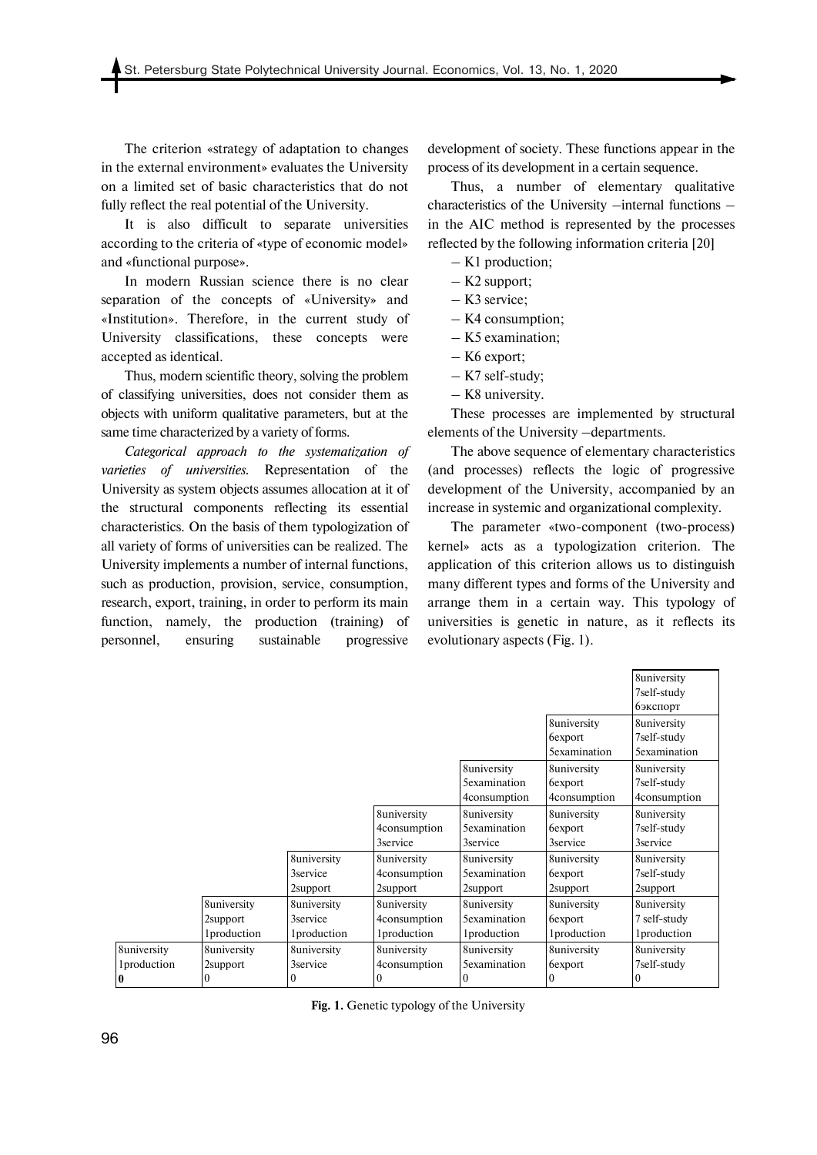The criterion «strategy of adaptation to changes in the external environment» evaluates the University on a limited set of basic characteristics that do not fully reflect the real potential of the University.

It is also difficult to separate universities according to the criteria of «type of economic model» and «functional purpose».

In modern Russian science there is no clear separation of the concepts of «University» and «Institution». Therefore, in the current study of University classifications, these concepts were accepted as identical.

Thus, modern scientific theory, solving the problem of classifying universities, does not consider them as objects with uniform qualitative parameters, but at the same time characterized by a variety of forms.

*Categorical approach to the systematization of varieties of universities.* Representation of the University as system objects assumes allocation at it of the structural components reflecting its essential characteristics. On the basis of them typologization of all variety of forms of universities can be realized. The University implements a number of internal functions, such as production, provision, service, consumption, research, export, training, in order to perform its main function, namely, the production (training) of personnel, ensuring sustainable progressive

development of society. These functions appear in the process of its development in a certain sequence.

Thus, a number of elementary qualitative characteristics of the University –internal functions – in the AIC method is represented by the processes reflected by the following information criteria [20]

- K1 production;
- K2 support;
- K3 service;
- K4 consumption;
- K5 examination;
- K6 export;
- K7 self-study;
- K8 university.

These processes are implemented by structural elements of the University –departments.

The above sequence of elementary characteristics (and processes) reflects the logic of progressive development of the University, accompanied by an increase in systemic and organizational complexity.

The parameter «two-component (two-process) kernel» acts as a typologization criterion. The application of this criterion allows us to distinguish many different types and forms of the University and arrange them in a certain way. This typology of universities is genetic in nature, as it reflects its evolutionary aspects (Fig. 1).

|                     |                     |                     |                     |                      |                     | 8university          |
|---------------------|---------------------|---------------------|---------------------|----------------------|---------------------|----------------------|
|                     |                     |                     |                     |                      |                     | 7self-study          |
|                     |                     |                     |                     |                      |                     | <b>б</b> экспорт     |
|                     |                     |                     |                     |                      | 8university         | 8university          |
|                     |                     |                     |                     |                      | 6export             | 7self-study          |
|                     |                     |                     |                     |                      | <b>Sexamination</b> | <b>5</b> examination |
|                     |                     |                     |                     | 8university          | 8university         | 8university          |
|                     |                     |                     |                     | <b>5</b> examination | 6export             | 7self-study          |
|                     |                     |                     |                     | 4consumption         | 4consumption        | 4consumption         |
|                     |                     |                     | 8university         | 8university          | 8university         | 8university          |
|                     |                     |                     | 4consumption        | <b>5</b> examination | 6export             | 7self-study          |
|                     |                     |                     | 3service            | 3service             | 3service            | 3service             |
|                     |                     | 8university         | 8university         | 8university          | 8university         | 8university          |
|                     |                     | 3service            | 4consumption        | <b>5</b> examination | 6export             | 7self-study          |
|                     |                     | 2support            | 2support            | 2support             | 2support            | 2support             |
|                     | 8university         | 8university         | 8university         | 8university          | 8university         | 8university          |
|                     | 2support            | 3service            | 4consumption        | <b>Sexamination</b>  | 6export             | 7 self-study         |
|                     | <i>l</i> production | <i>l</i> production | <i>l</i> production | <i>l</i> production  | <i>l</i> production | <i>l</i> production  |
| 8university         | 8university         | 8university         | 8university         | 8university          | 8university         | 8university          |
| <i>l</i> production | 2support            | 3service            | 4consumption        | <b>5</b> examination | 6export             | 7self-study          |
| 0                   |                     |                     | $\theta$            | $_{0}$               | $\theta$            |                      |

**Fig. 1.** Genetic typology of the University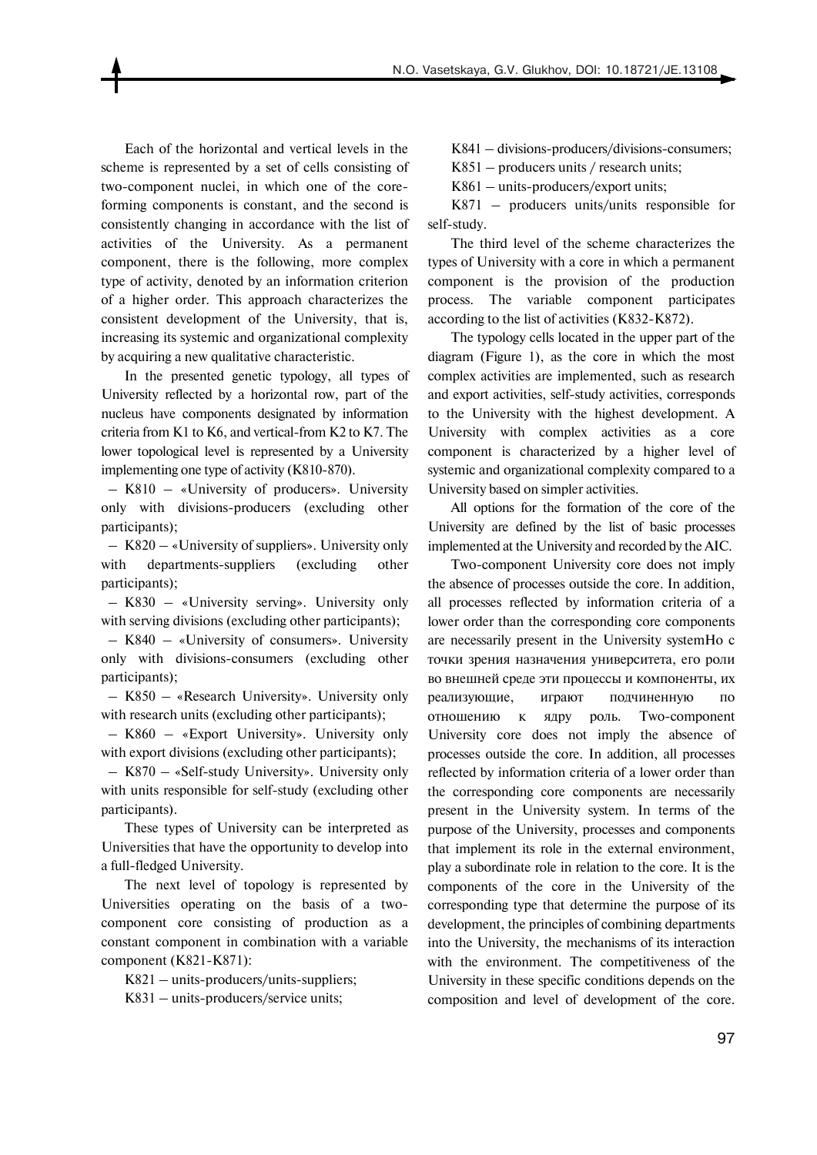Each of the horizontal and vertical levels in the scheme is represented by a set of cells consisting of two-component nuclei, in which one of the coreforming components is constant, and the second is consistently changing in accordance with the list of activities of the University. As a permanent component, there is the following, more complex type of activity, denoted by an information criterion of a higher order. This approach characterizes the consistent development of the University, that is, increasing its systemic and organizational complexity by acquiring a new qualitative characteristic.

In the presented genetic typology, all types of University reflected by a horizontal row, part of the nucleus have components designated by information criteria from K1 to K6, and vertical-from K2 to K7. The lower topological level is represented by a University implementing one type of activity (K810-870).

 – K810 – «University of producers». University only with divisions-producers (excluding other participants);

 – K820 – «University of suppliers». University only with departments-suppliers (excluding other participants);

 – K830 – «University serving». University only with serving divisions (excluding other participants);

 – K840 – «University of consumers». University only with divisions-consumers (excluding other participants);

 – K850 – «Research University». University only with research units (excluding other participants);

 – K860 – «Export University». University only with export divisions (excluding other participants);

 – K870 – «Self-study University». University only with units responsible for self-study (excluding other participants).

These types of University can be interpreted as Universities that have the opportunity to develop into a full-fledged University.

The next level of topology is represented by Universities operating on the basis of a twocomponent core consisting of production as a constant component in combination with a variable component (K821-K871):

K821 – units-producers/units-suppliers;

K831 – units-producers/service units;

K841 – divisions-producers/divisions-consumers;

K851 – producers units / research units;

K861 – units-producers/export units;

K871 – producers units/units responsible for self-study.

The third level of the scheme characterizes the types of University with a core in which a permanent component is the provision of the production process. The variable component participates according to the list of activities (K832-K872).

The typology cells located in the upper part of the diagram (Figure 1), as the core in which the most complex activities are implemented, such as research and export activities, self-study activities, corresponds to the University with the highest development. A University with complex activities as a core component is characterized by a higher level of systemic and organizational complexity compared to a University based on simpler activities.

All options for the formation of the core of the University are defined by the list of basic processes implemented at the University and recorded by the AIC.

Two-component University core does not imply the absence of processes outside the core. In addition, all processes reflected by information criteria of a lower order than the corresponding core components are necessarily present in the University systemНо с точки зрения назначения университета, его роли во внешней среде эти процессы и компоненты, их реализующие, играют подчиненную по отношению к ядру роль. Two-component University core does not imply the absence of processes outside the core. In addition, all processes reflected by information criteria of a lower order than the corresponding core components are necessarily present in the University system. In terms of the purpose of the University, processes and components that implement its role in the external environment, play a subordinate role in relation to the core. It is the components of the core in the University of the corresponding type that determine the purpose of its development, the principles of combining departments into the University, the mechanisms of its interaction with the environment. The competitiveness of the University in these specific conditions depends on the composition and level of development of the core.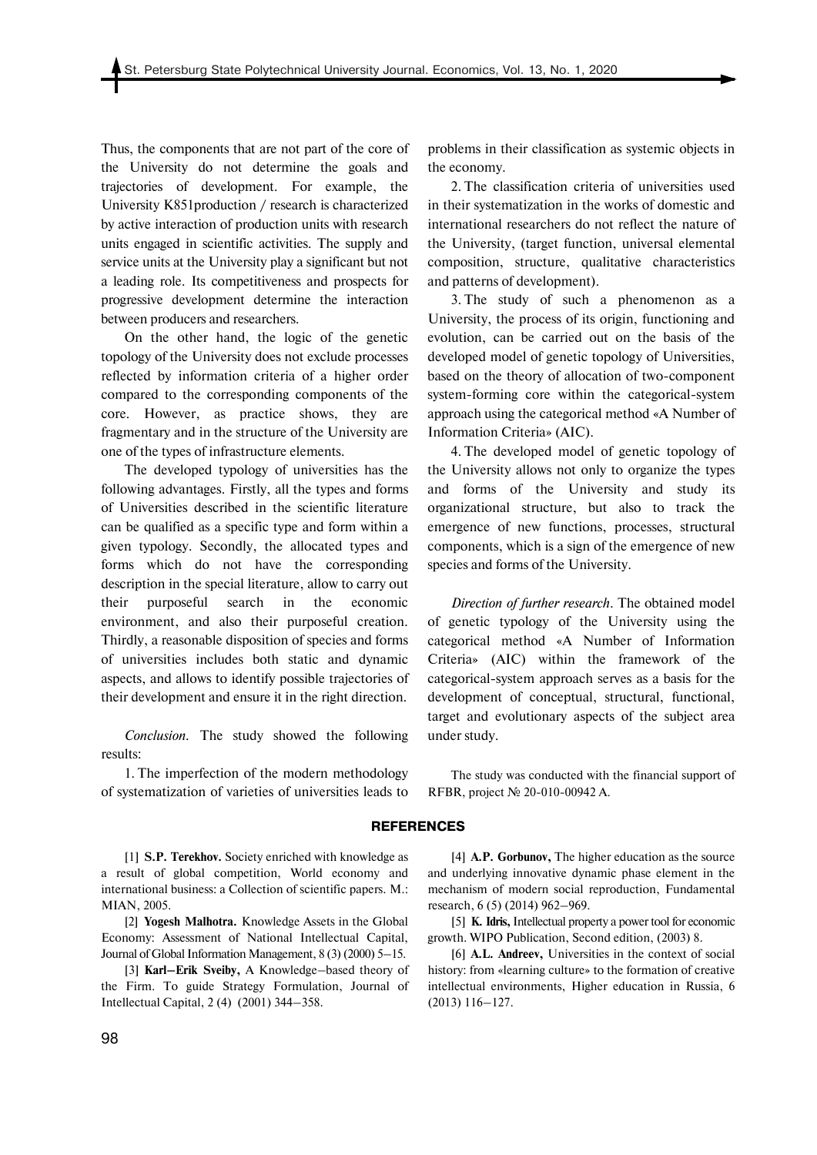Thus, the components that are not part of the core of the University do not determine the goals and trajectories of development. For example, the University K851production / research is characterized by active interaction of production units with research units engaged in scientific activities. The supply and service units at the University play a significant but not a leading role. Its competitiveness and prospects for progressive development determine the interaction between producers and researchers.

On the other hand, the logic of the genetic topology of the University does not exclude processes reflected by information criteria of a higher order compared to the corresponding components of the core. However, as practice shows, they are fragmentary and in the structure of the University are one of the types of infrastructure elements.

The developed typology of universities has the following advantages. Firstly, all the types and forms of Universities described in the scientific literature can be qualified as a specific type and form within a given typology. Secondly, the allocated types and forms which do not have the corresponding description in the special literature, allow to carry out their purposeful search in the economic environment, and also their purposeful creation. Thirdly, a reasonable disposition of species and forms of universities includes both static and dynamic aspects, and allows to identify possible trajectories of their development and ensure it in the right direction.

*Conclusion.* The study showed the following results:

1. The imperfection of the modern methodology of systematization of varieties of universities leads to

[1] **S.P. Terekhov.** Society enriched with knowledge as a result of global competition, World economy and international business: a Collection of scientific papers. M.: MIAN, 2005.

[2] **Yogesh Malhotra.** Knowledge Assets in the Global Economy: Assessment of National Intellectual Capital, Journal of Global Information Management, 8 (3) (2000) 5–15.

[3] **Karl–Erik Sveiby,** A Knowledge–based theory of the Firm. To guide Strategy Formulation, Journal of Intellectual Capital, 2 (4) (2001) 344–358.

problems in their classification as systemic objects in the economy.

2. The classification criteria of universities used in their systematization in the works of domestic and international researchers do not reflect the nature of the University, (target function, universal elemental composition, structure, qualitative characteristics and patterns of development).

3. The study of such a phenomenon as a University, the process of its origin, functioning and evolution, can be carried out on the basis of the developed model of genetic topology of Universities, based on the theory of allocation of two-component system-forming core within the categorical-system approach using the categorical method «A Number of Information Criteria» (AIC).

4. The developed model of genetic topology of the University allows not only to organize the types and forms of the University and study its organizational structure, but also to track the emergence of new functions, processes, structural components, which is a sign of the emergence of new species and forms of the University.

*Direction of further research*. The obtained model of genetic typology of the University using the categorical method «A Number of Information Criteria» (AIC) within the framework of the categorical-system approach serves as a basis for the development of conceptual, structural, functional, target and evolutionary aspects of the subject area under study.

The study was conducted with the financial support of RFBR, project № 20-010-00942 А.

#### **REFERENCES**

[4] **A.P. Gorbunov,** The higher education as the source and underlying innovative dynamic phase element in the mechanism of modern social reproduction, Fundamental research, 6 (5) (2014) 962–969.

[5] **K. Idris,** Intellectual property a power tool for economic growth. WIPO Publication, Second edition, (2003) 8.

[6] **A.L. Andreev,** Universities in the context of social history: from «learning culture» to the formation of creative intellectual environments, Higher education in Russia, 6 (2013) 116–127.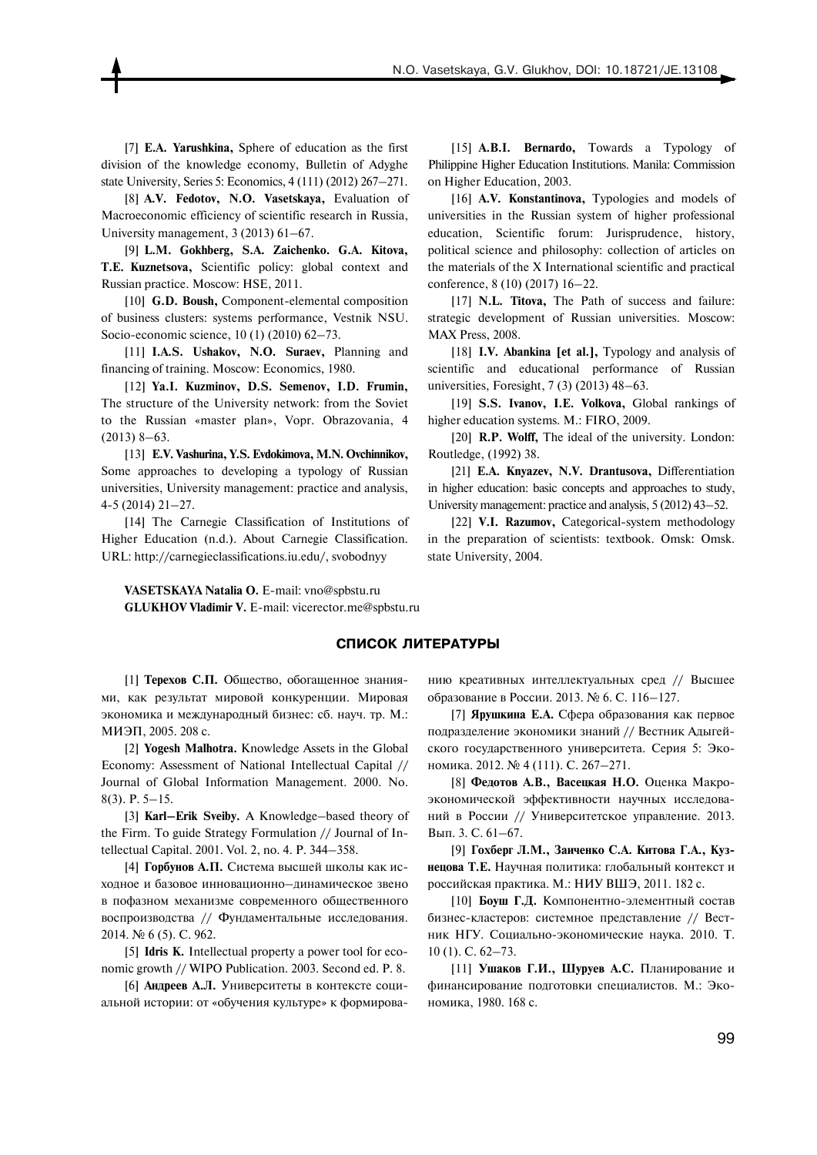[7] **E.A. Yarushkina,** Sphere of education as the first division of the knowledge economy, Bulletin of Adyghe state University, Series 5: Economics, 4 (111) (2012) 267–271.

[8] **A.V. Fedotov, N.O. Vasetskaya,** Evaluation of Macroeconomic efficiency of scientific research in Russia, University management, 3 (2013) 61–67.

[9] **L.M. Gokhberg, S.A. Zaichenko. G.A. Kitova, T.E. Kuznetsova,** Scientific policy: global context and Russian practice. Moscow: HSE, 2011.

[10] **G.D. Boush, Component-elemental composition** of business clusters: systems performance, Vestnik NSU. Socio-economic science, 10 (1) (2010) 62–73.

[11] **I.A.S. Ushakov, N.O. Suraev,** Planning and financing of training. Moscow: Economics, 1980.

[12] **Ya.I. Kuzminov, D.S. Semenov, I.D. Frumin,** The structure of the University network: from the Soviet to the Russian «master plan», Vopr. Obrazovania, 4  $(2013)$  8–63.

[13] **E.V. Vashurina, Y.S. Evdokimova, M.N. Ovchinnikov,** Some approaches to developing a typology of Russian universities, University management: practice and analysis, 4-5 (2014) 21–27.

[14] The Carnegie Classification of Institutions of Higher Education (n.d.). About Carnegie Classification. URL: http://carnegieclassifications.iu.edu/, svobodnyy

[15] **A.B.I. Bernardo,** Towards a Typology of Philippine Higher Education Institutions. Manila: Commission on Higher Education, 2003.

[16] **A.V. Konstantinova,** Typologies and models of universities in the Russian system of higher professional education, Scientific forum: Jurisprudence, history, political science and philosophy: collection of articles on the materials of the X International scientific and practical conference, 8 (10) (2017) 16–22.

[17] **N.L. Titova,** The Path of success and failure: strategic development of Russian universities. Moscow: MAX Press, 2008.

[18] **I.V. Abankina [et al.],** Typology and analysis of scientific and educational performance of Russian universities, Foresight, 7 (3) (2013) 48–63.

[19] **S.S. Ivanov, I.E. Volkova,** Global rankings of higher education systems. M.: FIRO, 2009.

[20] **R.P. Wolff,** The ideal of the university. London: Routledge, (1992) 38.

[21] **E.A. Knyazev, N.V. Drantusova,** Differentiation in higher education: basic concepts and approaches to study, University management: practice and analysis, 5 (2012) 43–52.

[22] **V.I. Razumov,** Categorical-system methodology in the preparation of scientists: textbook. Omsk: Omsk. state University, 2004.

**VASETSKAYA Natalia O.** E-mail: vno@spbstu.ru **GLUKHOV Vladimir V.** E-mail: vicerector.me@spbstu.ru

#### **СПИСОК ЛИТЕРАТУРЫ**

[1] **Терехов С.П.** Общество, обогащенное знаниями, как результат мировой конкуренции. Мировая экономика и международный бизнес: сб. науч. тр. М.: МИЭП, 2005. 208 с.

[2] **Yogesh Malhotra.** Knowledge Assets in the Global Economy: Assessment of National Intellectual Capital // Journal of Global Information Management. 2000. No. 8(3). P. 5–15.

[3] **Karl–Erik Sveiby.** A Knowledge–based theory of the Firm. To guide Strategy Formulation // Journal of Intellectual Capital. 2001. Vol. 2, no. 4. P. 344–358.

[4] **Горбунов А.П.** Система высшей школы как исходное и базовое инновационно–динамическое звено в пофазном механизме современного общественного воспроизводства // Фундаментальные исследования. 2014. № 6 (5). С. 962.

[5] **Idris К.** Intellectual property a power tool for economic growth // WIPO Publication. 2003. Second ed. P. 8.

[6] **Андреев А.Л.** Университеты в контексте социальной истории: от «обучения культуре» к формированию креативных интеллектуальных сред // Высшее образование в России. 2013. № 6. С. 116–127.

[7] **Ярушкина Е.А.** Сфера образования как первое подразделение экономики знаний // Вестник Адыгейского государственного университета. Серия 5: Экономика. 2012. № 4 (111). С. 267–271.

[8] **Федотов А.В., Васецкая Н.О.** Оценка Макроэкономической эффективности научных исследований в России // Университетское управление. 2013. Вып. 3. С. 61–67.

[9] **Гохберг Л.М., Заиченко С.А. Китова Г.А., Кузнецова Т.Е.** Научная политика: глобальный контекст и российская практика. М.: НИУ ВШЭ, 2011. 182 с.

[10] **Боуш Г.Д.** Компонентно-элементный состав бизнес-кластеров: системное представление // Вестник НГУ. Социально-экономические наука. 2010. Т. 10 (1). С. 62–73.

[11] **Ушаков Г.И., Шуруев А.С.** Планирование и финансирование подготовки специалистов. М.: Экономика, 1980. 168 с.